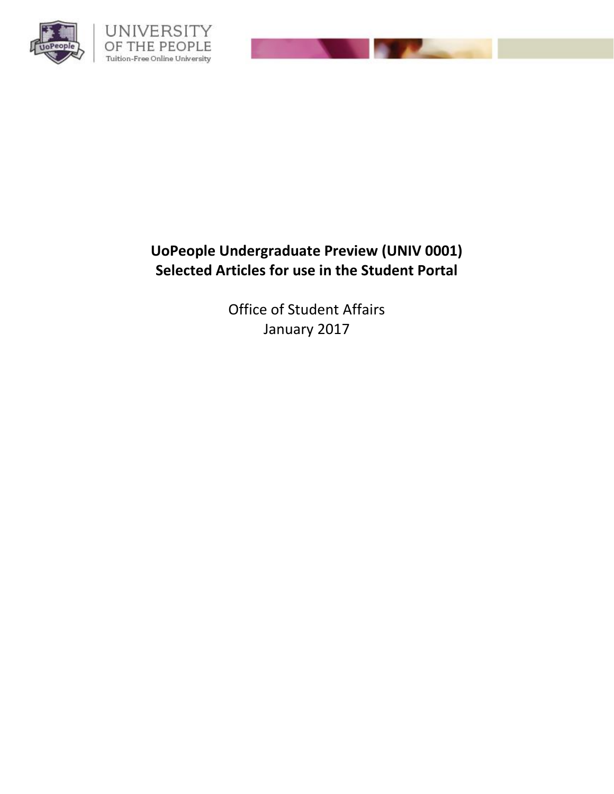

# **UoPeople Undergraduate Preview (UNIV 0001) Selected Articles for use in the Student Portal**

Office of Student Affairs January 2017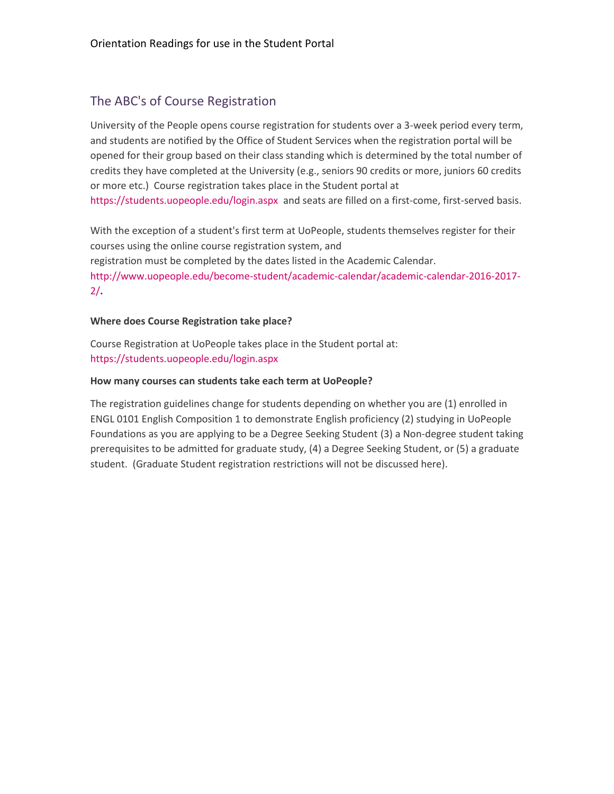# The ABC's of Course Registration

University of the People opens course registration for students over a 3-week period every term, and students are notified by the Office of Student Services when the registration portal will be opened for their group based on their class standing which is determined by the total number of credits they have completed at the University (e.g., seniors 90 credits or more, juniors 60 credits or more etc.) Course registration takes place in the Student portal at <https://students.uopeople.edu/login.aspx> and seats are filled on a first-come, first-served basis.

With the exception of a student's first term at UoPeople, students themselves register for their courses using the online course registration system, and registration must be completed by the dates listed in the Academic Calendar. [http://www.uopeople.edu/become-student/academic-calendar/academic-calendar-2016-2017-](http://www.uopeople.edu/become-student/academic-calendar/academic-calendar-2016-2017-2/) [2/](http://www.uopeople.edu/become-student/academic-calendar/academic-calendar-2016-2017-2/)**.**

### **Where does Course Registration take place?**

Course Registration at UoPeople takes place in the Student portal at: <https://students.uopeople.edu/login.aspx>

### **How many courses can students take each term at UoPeople?**

The registration guidelines change for students depending on whether you are (1) enrolled in ENGL 0101 English Composition 1 to demonstrate English proficiency (2) studying in UoPeople Foundations as you are applying to be a Degree Seeking Student (3) a Non-degree student taking prerequisites to be admitted for graduate study, (4) a Degree Seeking Student, or (5) a graduate student. (Graduate Student registration restrictions will not be discussed here).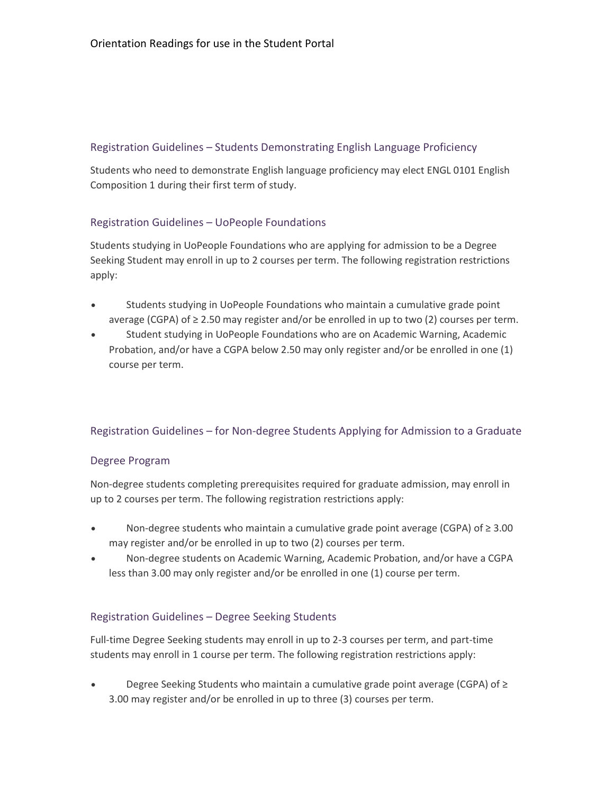# Registration Guidelines – Students Demonstrating English Language Proficiency

Students who need to demonstrate English language proficiency may elect ENGL 0101 English Composition 1 during their first term of study.

# Registration Guidelines – UoPeople Foundations

Students studying in UoPeople Foundations who are applying for admission to be a Degree Seeking Student may enroll in up to 2 courses per term. The following registration restrictions apply:

- Students studying in UoPeople Foundations who maintain a cumulative grade point average (CGPA) of ≥ 2.50 may register and/or be enrolled in up to two (2) courses per term.
- Student studying in UoPeople Foundations who are on Academic Warning, Academic Probation, and/or have a CGPA below 2.50 may only register and/or be enrolled in one (1) course per term.

# Registration Guidelines – for Non-degree Students Applying for Admission to a Graduate

# Degree Program

Non-degree students completing prerequisites required for graduate admission, may enroll in up to 2 courses per term. The following registration restrictions apply:

- Non-degree students who maintain a cumulative grade point average (CGPA) of ≥ 3.00 may register and/or be enrolled in up to two (2) courses per term.
- Non-degree students on Academic Warning, Academic Probation, and/or have a CGPA less than 3.00 may only register and/or be enrolled in one (1) course per term.

# Registration Guidelines – Degree Seeking Students

Full-time Degree Seeking students may enroll in up to 2-3 courses per term, and part-time students may enroll in 1 course per term. The following registration restrictions apply:

 Degree Seeking Students who maintain a cumulative grade point average (CGPA) of ≥ 3.00 may register and/or be enrolled in up to three (3) courses per term.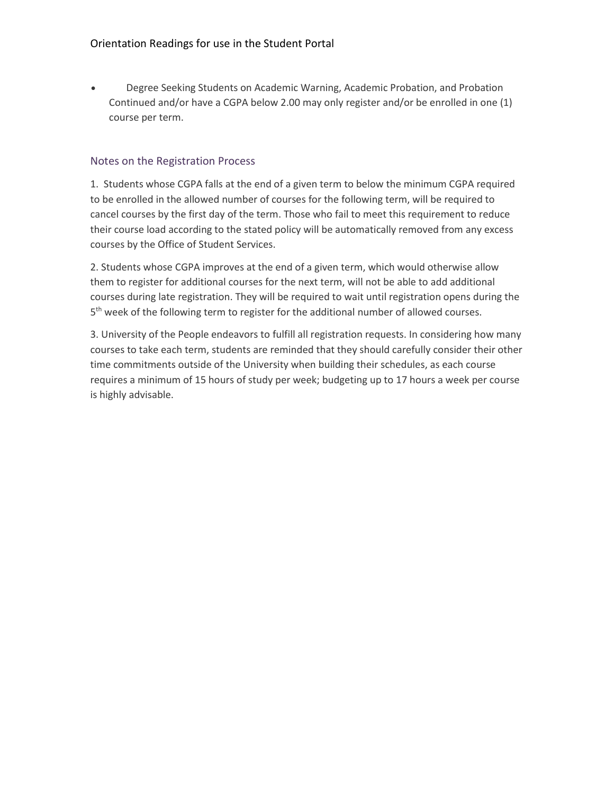Degree Seeking Students on Academic Warning, Academic Probation, and Probation Continued and/or have a CGPA below 2.00 may only register and/or be enrolled in one (1) course per term.

# Notes on the Registration Process

1. Students whose CGPA falls at the end of a given term to below the minimum CGPA required to be enrolled in the allowed number of courses for the following term, will be required to cancel courses by the first day of the term. Those who fail to meet this requirement to reduce their course load according to the stated policy will be automatically removed from any excess courses by the Office of Student Services.

2. Students whose CGPA improves at the end of a given term, which would otherwise allow them to register for additional courses for the next term, will not be able to add additional courses during late registration. They will be required to wait until registration opens during the 5<sup>th</sup> week of the following term to register for the additional number of allowed courses.

3. University of the People endeavors to fulfill all registration requests. In considering how many courses to take each term, students are reminded that they should carefully consider their other time commitments outside of the University when building their schedules, as each course requires a minimum of 15 hours of study per week; budgeting up to 17 hours a week per course is highly advisable.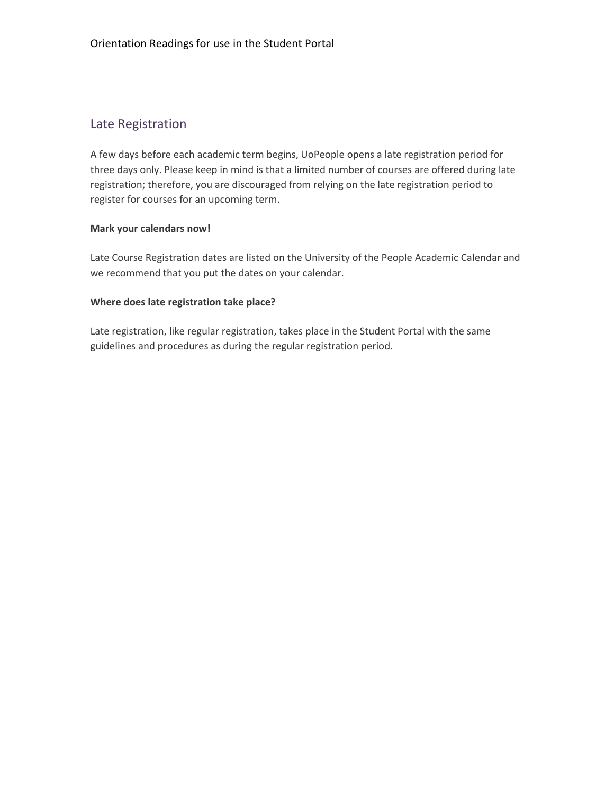# Late Registration

A few days before each academic term begins, UoPeople opens a late registration period for three days only. Please keep in mind is that a limited number of courses are offered during late registration; therefore, you are discouraged from relying on the late registration period to register for courses for an upcoming term.

#### **Mark your calendars now!**

Late Course Registration dates are listed on the University of the People Academic Calendar and we recommend that you put the dates on your calendar.

#### **Where does late registration take place?**

Late registration, like regular registration, takes place in the Student Portal with the same guidelines and procedures as during the regular registration period.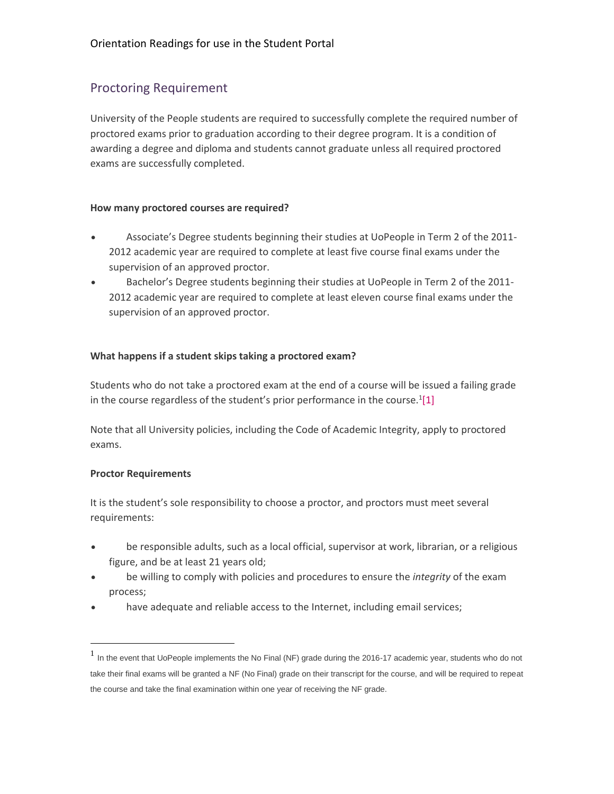# Proctoring Requirement

University of the People students are required to successfully complete the required number of proctored exams prior to graduation according to their degree program. It is a condition of awarding a degree and diploma and students cannot graduate unless all required proctored exams are successfully completed.

### **How many proctored courses are required?**

- Associate's Degree students beginning their studies at UoPeople in Term 2 of the 2011- 2012 academic year are required to complete at least five course final exams under the supervision of an approved proctor.
- Bachelor's Degree students beginning their studies at UoPeople in Term 2 of the 2011- 2012 academic year are required to complete at least eleven course final exams under the supervision of an approved proctor.

### **What happens if a student skips taking a proctored exam?**

Students who do not take a proctored exam at the end of a course will be issued a failing grade in the course regardless of the student's prior performance in the course.<sup>1</sup>[\[1\]](https://my.uopeople.edu/mod/book/view.php?id=100829&chapterid=100648#_ftn1)

Note that all University policies, including the Code of Academic Integrity, apply to proctored exams.

# **Proctor Requirements**

 $\overline{a}$ 

It is the student's sole responsibility to choose a proctor, and proctors must meet several requirements:

- be responsible adults, such as a local official, supervisor at work, librarian, or a religious figure, and be at least 21 years old;
- be willing to comply with policies and procedures to ensure the *integrity* of the exam process;
- have adequate and reliable access to the Internet, including email services;

 $<sup>1</sup>$  In the event that UoPeople implements the No Final (NF) grade during the 2016-17 academic year, students who do not</sup> take their final exams will be granted a NF (No Final) grade on their transcript for the course, and will be required to repeat the course and take the final examination within one year of receiving the NF grade.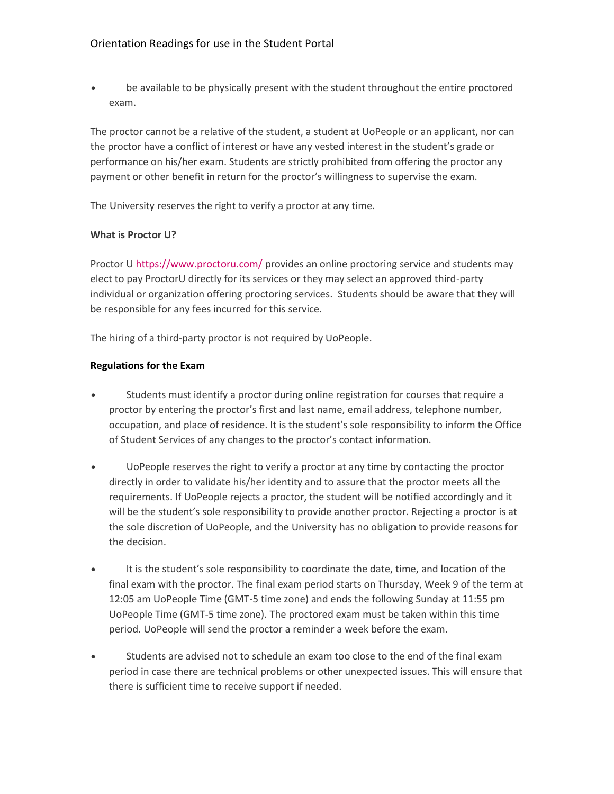be available to be physically present with the student throughout the entire proctored exam.

The proctor cannot be a relative of the student, a student at UoPeople or an applicant, nor can the proctor have a conflict of interest or have any vested interest in the student's grade or performance on his/her exam. Students are strictly prohibited from offering the proctor any payment or other benefit in return for the proctor's willingness to supervise the exam.

The University reserves the right to verify a proctor at any time.

### **What is Proctor U?**

Proctor U<https://www.proctoru.com/> provides an online proctoring service and students may elect to pay ProctorU directly for its services or they may select an approved third-party individual or organization offering proctoring services. Students should be aware that they will be responsible for any fees incurred for this service.

The hiring of a third-party proctor is not required by UoPeople.

### **Regulations for the Exam**

- Students must identify a proctor during online registration for courses that require a proctor by entering the proctor's first and last name, email address, telephone number, occupation, and place of residence. It is the student's sole responsibility to inform the Office of Student Services of any changes to the proctor's contact information.
- UoPeople reserves the right to verify a proctor at any time by contacting the proctor directly in order to validate his/her identity and to assure that the proctor meets all the requirements. If UoPeople rejects a proctor, the student will be notified accordingly and it will be the student's sole responsibility to provide another proctor. Rejecting a proctor is at the sole discretion of UoPeople, and the University has no obligation to provide reasons for the decision.
- It is the student's sole responsibility to coordinate the date, time, and location of the final exam with the proctor. The final exam period starts on Thursday, Week 9 of the term at 12:05 am UoPeople Time (GMT-5 time zone) and ends the following Sunday at 11:55 pm UoPeople Time (GMT-5 time zone). The proctored exam must be taken within this time period. UoPeople will send the proctor a reminder a week before the exam.
- Students are advised not to schedule an exam too close to the end of the final exam period in case there are technical problems or other unexpected issues. This will ensure that there is sufficient time to receive support if needed.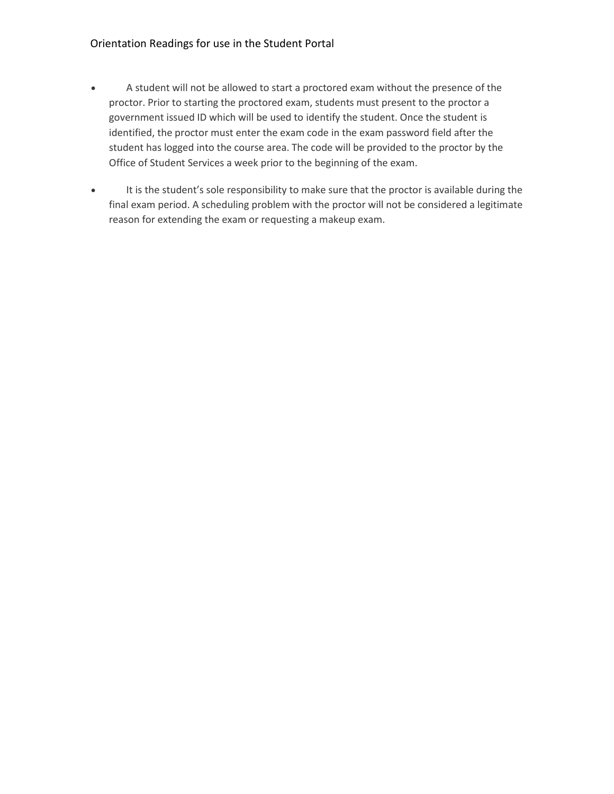- A student will not be allowed to start a proctored exam without the presence of the proctor. Prior to starting the proctored exam, students must present to the proctor a government issued ID which will be used to identify the student. Once the student is identified, the proctor must enter the exam code in the exam password field after the student has logged into the course area. The code will be provided to the proctor by the Office of Student Services a week prior to the beginning of the exam.
- It is the student's sole responsibility to make sure that the proctor is available during the final exam period. A scheduling problem with the proctor will not be considered a legitimate reason for extending the exam or requesting a makeup exam.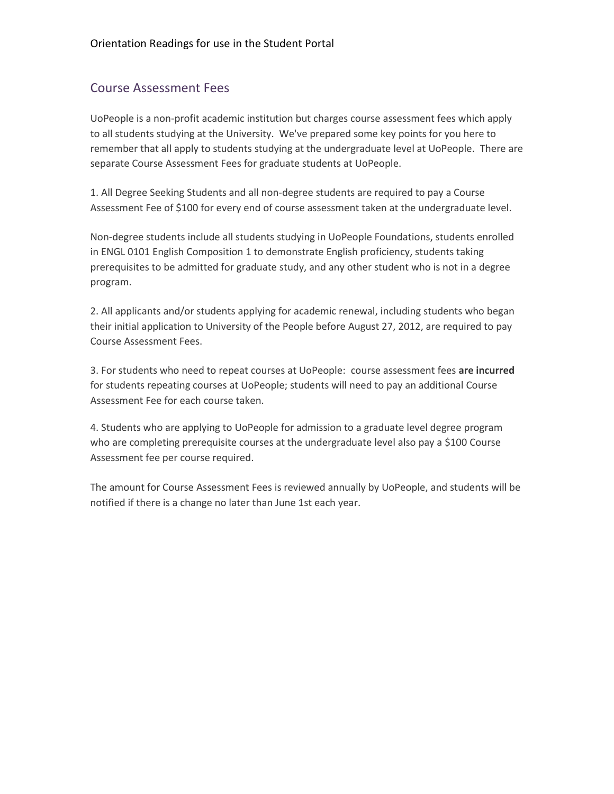# Course Assessment Fees

UoPeople is a non-profit academic institution but charges course assessment fees which apply to all students studying at the University. We've prepared some key points for you here to remember that all apply to students studying at the undergraduate level at UoPeople. There are separate Course Assessment Fees for graduate students at UoPeople.

1. All Degree Seeking Students and all non-degree students are required to pay a Course Assessment Fee of \$100 for every end of course assessment taken at the undergraduate level.

Non-degree students include all students studying in UoPeople Foundations, students enrolled in ENGL 0101 English Composition 1 to demonstrate English proficiency, students taking prerequisites to be admitted for graduate study, and any other student who is not in a degree program.

2. All applicants and/or students applying for academic renewal, including students who began their initial application to University of the People before August 27, 2012, are required to pay Course Assessment Fees.

3. For students who need to repeat courses at UoPeople: course assessment fees **are incurred** for students repeating courses at UoPeople; students will need to pay an additional Course Assessment Fee for each course taken.

4. Students who are applying to UoPeople for admission to a graduate level degree program who are completing prerequisite courses at the undergraduate level also pay a \$100 Course Assessment fee per course required.

The amount for Course Assessment Fees is reviewed annually by UoPeople, and students will be notified if there is a change no later than June 1st each year.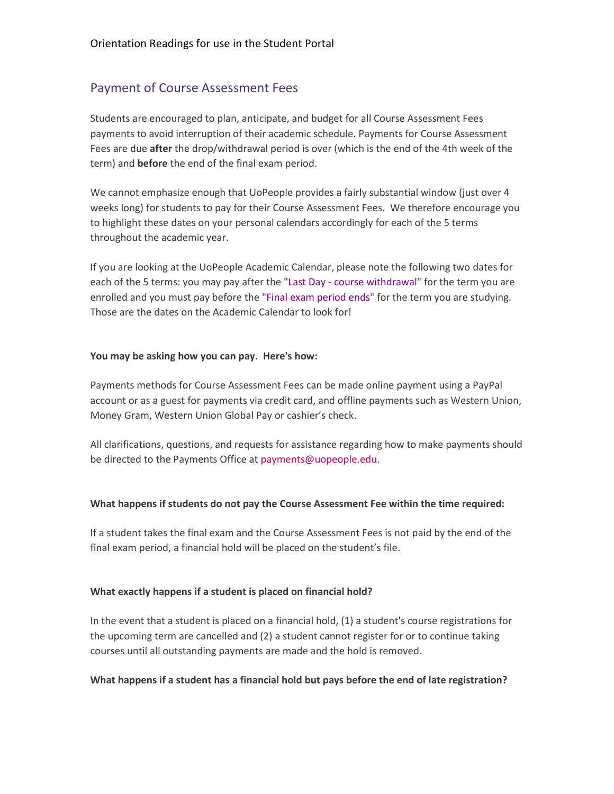# Payment of Course Assessment Fees

Students are encouraged to plan, anticipate, and budget for all Course Assessment Fees payments to avoid interruption of their academic schedule. Payments for Course Assessment Fees are due **after** the drop/withdrawal period is over (which is the end of the 4th week of the term) and **before** the end of the final exam period.

We cannot emphasize enough that UoPeople provides a fairly substantial window (just over 4 weeks long) for students to pay for their Course Assessment Fees. We therefore encourage you to highlight these dates on your personal calendars accordingly for each of the 5 terms throughout the academic year.

If you are looking at the UoPeople Academic Calendar, please note the following two dates for each of the 5 terms: you may pay after the "Last Day - course withdrawal" for the term you are enrolled and you must pay before the "Final exam period ends" for the term you are studying. Those are the dates on the Academic Calendar to look for!

#### **You may be asking how you can pay. Here's how:**

Payments methods for Course Assessment Fees can be made online payment using a PayPal account or as a guest for payments via credit card, and offline payments such as Western Union, Money Gram, Western Union Global Pay or cashier's check.

All clarifications, questions, and requests for assistance regarding how to make payments should be directed to the Payments Office at [payments@uopeople.edu.](mailto:payments@uopeople.edu)

#### **What happens if students do not pay the Course Assessment Fee within the time required:**

If a student takes the final exam and the Course Assessment Fees is not paid by the end of the final exam period, a financial hold will be placed on the student's file.

#### **What exactly happens if a student is placed on financial hold?**

In the event that a student is placed on a financial hold, (1) a student's course registrations for the upcoming term are cancelled and (2) a student cannot register for or to continue taking courses until all outstanding payments are made and the hold is removed.

#### **What happens if a student has a financial hold but pays before the end of late registration?**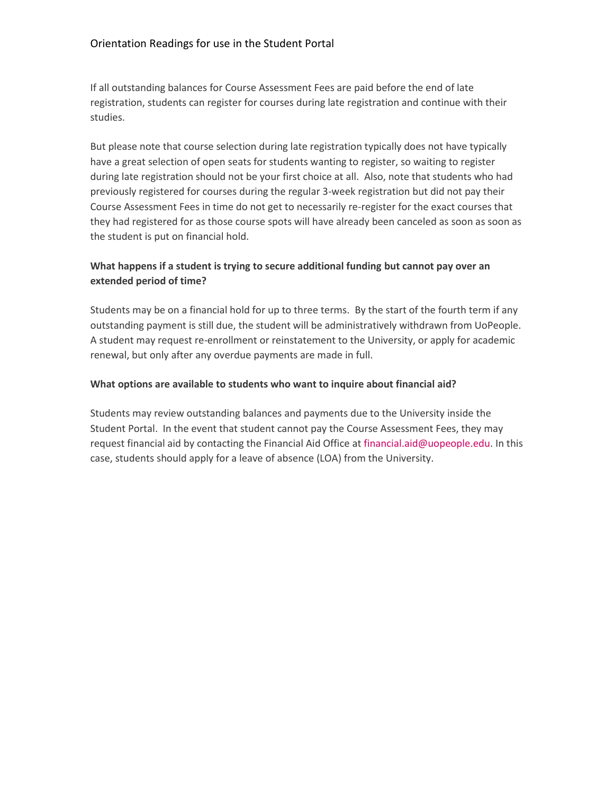If all outstanding balances for Course Assessment Fees are paid before the end of late registration, students can register for courses during late registration and continue with their studies.

But please note that course selection during late registration typically does not have typically have a great selection of open seats for students wanting to register, so waiting to register during late registration should not be your first choice at all. Also, note that students who had previously registered for courses during the regular 3-week registration but did not pay their Course Assessment Fees in time do not get to necessarily re-register for the exact courses that they had registered for as those course spots will have already been canceled as soon as soon as the student is put on financial hold.

# **What happens if a student is trying to secure additional funding but cannot pay over an extended period of time?**

Students may be on a financial hold for up to three terms. By the start of the fourth term if any outstanding payment is still due, the student will be administratively withdrawn from UoPeople. A student may request re-enrollment or reinstatement to the University, or apply for academic renewal, but only after any overdue payments are made in full.

#### **What options are available to students who want to inquire about financial aid?**

Students may review outstanding balances and payments due to the University inside the Student Portal. In the event that student cannot pay the Course Assessment Fees, they may request financial aid by contacting the Financial Aid Office at [financial.aid@uopeople.edu.](mailto:financial.aid@uopeople.edu) In this case, students should apply for a leave of absence (LOA) from the University.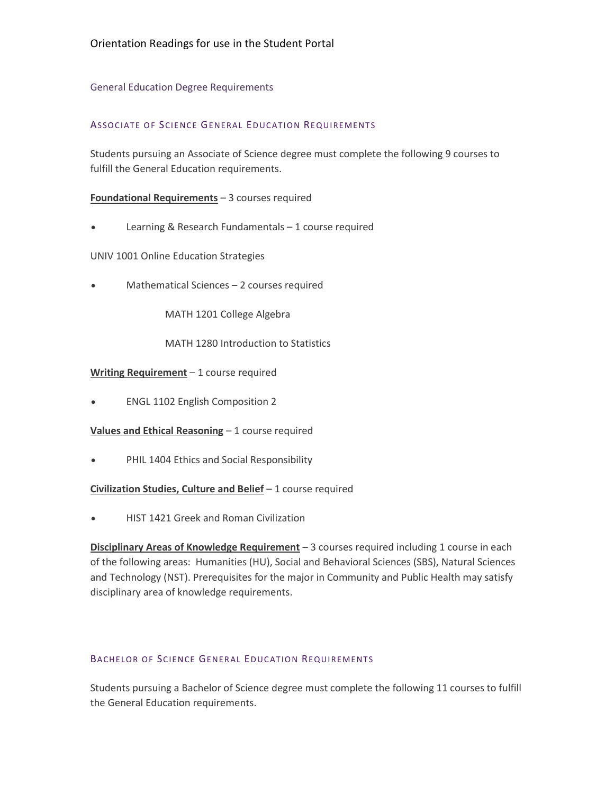#### General Education Degree Requirements

#### ASSOCIATE OF SCIENCE GENERAL EDUCATION REQUIREMENTS

Students pursuing an Associate of Science degree must complete the following 9 courses to fulfill the General Education requirements.

#### **Foundational Requirements** – 3 courses required

Learning & Research Fundamentals – 1 course required

UNIV 1001 Online Education Strategies

• Mathematical Sciences – 2 courses required

MATH 1201 College Algebra

MATH 1280 Introduction to Statistics

#### **Writing Requirement** – 1 course required

ENGL 1102 English Composition 2

**Values and Ethical Reasoning** – 1 course required

PHIL 1404 Ethics and Social Responsibility

#### **Civilization Studies, Culture and Belief** – 1 course required

HIST 1421 Greek and Roman Civilization

**Disciplinary Areas of Knowledge Requirement** – 3 courses required including 1 course in each of the following areas: Humanities (HU), Social and Behavioral Sciences (SBS), Natural Sciences and Technology (NST). Prerequisites for the major in Community and Public Health may satisfy disciplinary area of knowledge requirements.

#### BACHELOR OF SCIENCE GENERAL EDUCATION REQUIREMENTS

Students pursuing a Bachelor of Science degree must complete the following 11 courses to fulfill the General Education requirements.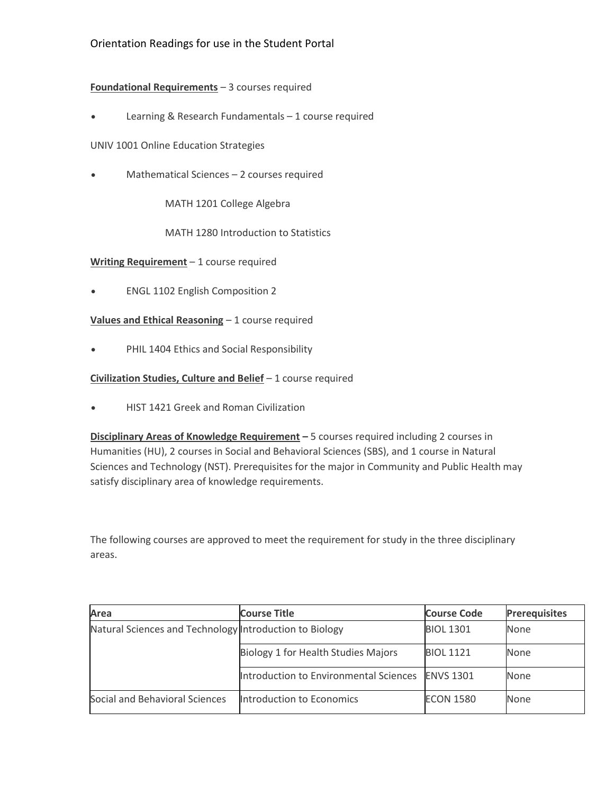# **Foundational Requirements** – 3 courses required

Learning & Research Fundamentals – 1 course required

UNIV 1001 Online Education Strategies

• Mathematical Sciences – 2 courses required

MATH 1201 College Algebra

MATH 1280 Introduction to Statistics

**Writing Requirement** – 1 course required

ENGL 1102 English Composition 2

**Values and Ethical Reasoning** – 1 course required

• PHIL 1404 Ethics and Social Responsibility

**Civilization Studies, Culture and Belief** – 1 course required

HIST 1421 Greek and Roman Civilization

**Disciplinary Areas of Knowledge Requirement –** 5 courses required including 2 courses in Humanities (HU), 2 courses in Social and Behavioral Sciences (SBS), and 1 course in Natural Sciences and Technology (NST). Prerequisites for the major in Community and Public Health may satisfy disciplinary area of knowledge requirements.

The following courses are approved to meet the requirement for study in the three disciplinary areas.

| Area                                                    | <b>Course Title</b>                    | <b>Course Code</b> | <b>Prerequisites</b> |
|---------------------------------------------------------|----------------------------------------|--------------------|----------------------|
| Natural Sciences and Technology Introduction to Biology |                                        | <b>BIOL 1301</b>   | <b>None</b>          |
|                                                         | Biology 1 for Health Studies Majors    | <b>BIOL 1121</b>   | <b>None</b>          |
|                                                         | Introduction to Environmental Sciences | <b>ENVS 1301</b>   | None                 |
| Social and Behavioral Sciences                          | Introduction to Economics              | <b>ECON 1580</b>   | <b>None</b>          |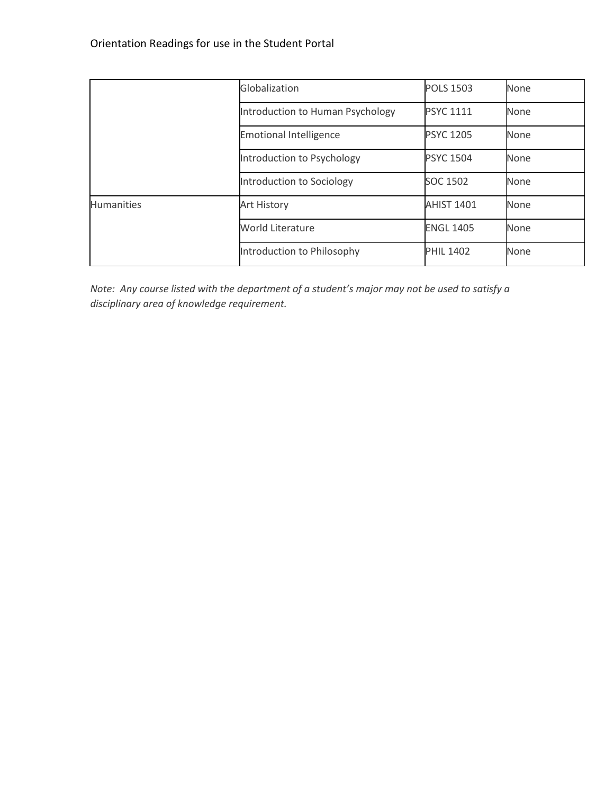|                   | Globalization                    | <b>POLS 1503</b>  | None |
|-------------------|----------------------------------|-------------------|------|
|                   | Introduction to Human Psychology | <b>PSYC 1111</b>  | None |
|                   | <b>Emotional Intelligence</b>    | <b>PSYC 1205</b>  | None |
|                   | Introduction to Psychology       | <b>PSYC 1504</b>  | None |
|                   | Introduction to Sociology        | SOC 1502          | None |
| <b>Humanities</b> | Art History                      | <b>AHIST 1401</b> | None |
|                   | <b>World Literature</b>          | <b>ENGL 1405</b>  | None |
|                   | Introduction to Philosophy       | <b>PHIL 1402</b>  | None |

*Note: Any course listed with the department of a student's major may not be used to satisfy a disciplinary area of knowledge requirement.*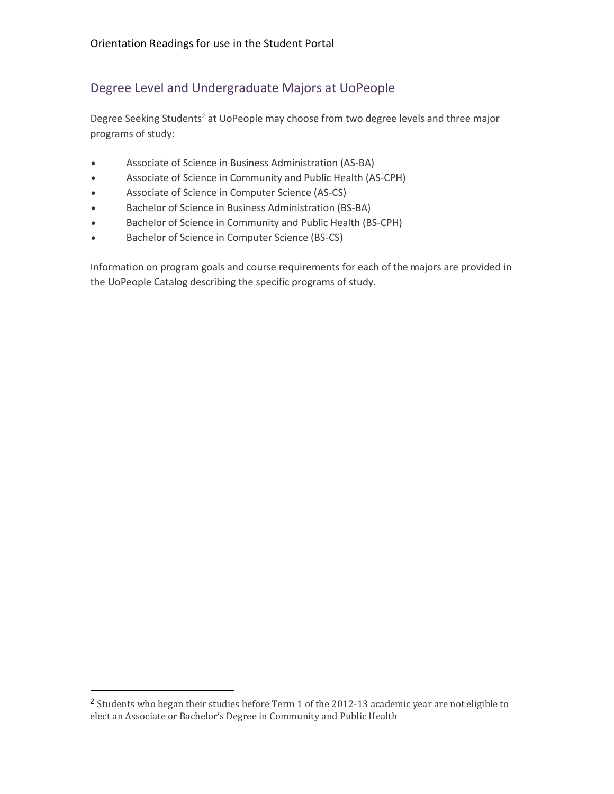# Degree Level and Undergraduate Majors at UoPeople

Degree Seeking Students<sup>2</sup> at UoPeople may choose from two degree levels and three major programs of study:

- Associate of Science in Business Administration (AS-BA)
- Associate of Science in Community and Public Health (AS-CPH)
- Associate of Science in Computer Science (AS-CS)
- Bachelor of Science in Business Administration (BS-BA)
- Bachelor of Science in Community and Public Health (BS-CPH)
- Bachelor of Science in Computer Science (BS-CS)

Information on program goals and course requirements for each of the majors are provided in the UoPeople Catalog describing the specific programs of study.

 $\overline{a}$ 

<sup>2</sup> Students who began their studies before Term 1 of the 2012-13 academic year are not eligible to elect an Associate or Bachelor's Degree in Community and Public Health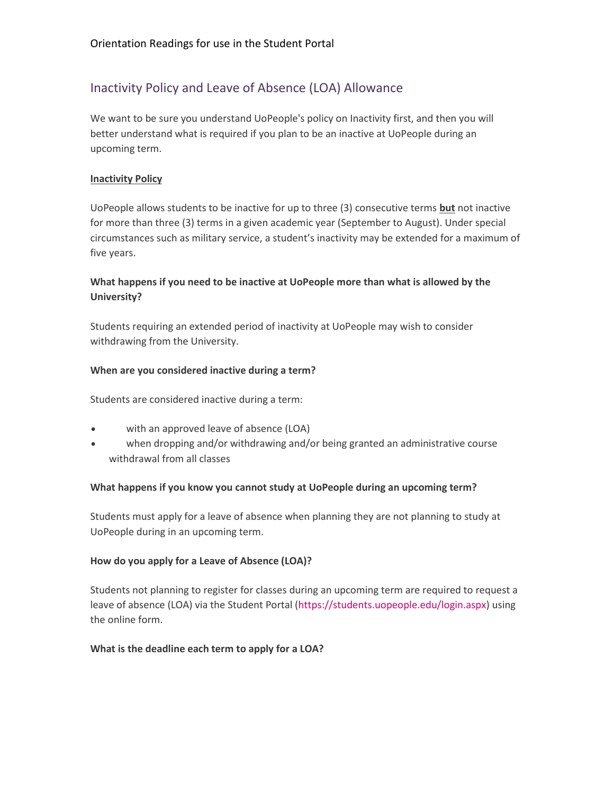# Inactivity Policy and Leave of Absence (LOA) Allowance

We want to be sure you understand UoPeople's policy on Inactivity first, and then you will better understand what is required if you plan to be an inactive at UoPeople during an upcoming term.

#### **Inactivity Policy**

UoPeople allows students to be inactive for up to three (3) consecutive terms **but** not inactive for more than three (3) terms in a given academic year (September to August). Under special circumstances such as military service, a student's inactivity may be extended for a maximum of five years.

# **What happens if you need to be inactive at UoPeople more than what is allowed by the University?**

Students requiring an extended period of inactivity at UoPeople may wish to consider withdrawing from the University.

#### **When are you considered inactive during a term?**

Students are considered inactive during a term:

- with an approved leave of absence (LOA)
- when dropping and/or withdrawing and/or being granted an administrative course withdrawal from all classes

#### **What happens if you know you cannot study at UoPeople during an upcoming term?**

Students must apply for a leave of absence when planning they are not planning to study at UoPeople during in an upcoming term.

# **How do you apply for a Leave of Absence (LOA)?**

Students not planning to register for classes during an upcoming term are required to request a leave of absence (LOA) via the Student Portal [\(https://students.uopeople.edu/login.aspx\)](https://students.uopeople.edu/login.aspx) using the online form.

#### **What is the deadline each term to apply for a LOA?**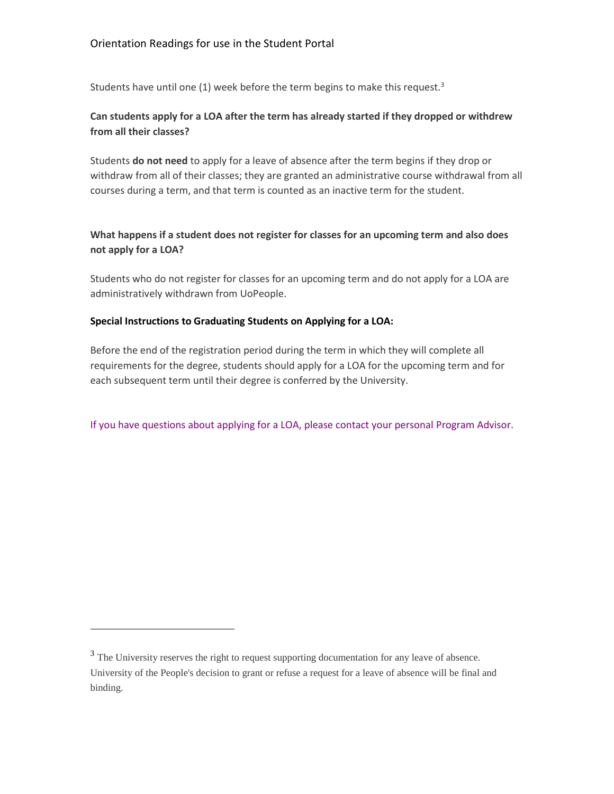Students have until one (1) week before the term begins to make this request.<sup>3</sup>

# **Can students apply for a LOA after the term has already started if they dropped or withdrew from all their classes?**

Students **do not need** to apply for a leave of absence after the term begins if they drop or withdraw from all of their classes; they are granted an administrative course withdrawal from all courses during a term, and that term is counted as an inactive term for the student.

# **What happens if a student does not register for classes for an upcoming term and also does not apply for a LOA?**

Students who do not register for classes for an upcoming term and do not apply for a LOA are administratively withdrawn from UoPeople.

#### **Special Instructions to Graduating Students on Applying for a LOA:**

Before the end of the registration period during the term in which they will complete all requirements for the degree, students should apply for a LOA for the upcoming term and for each subsequent term until their degree is conferred by the University.

#### If you have questions about applying for a LOA, please contact your personal Program Advisor.

l

<sup>&</sup>lt;sup>3</sup> The University reserves the right to request supporting documentation for any leave of absence. University of the People's decision to grant or refuse a request for a leave of absence will be final and binding.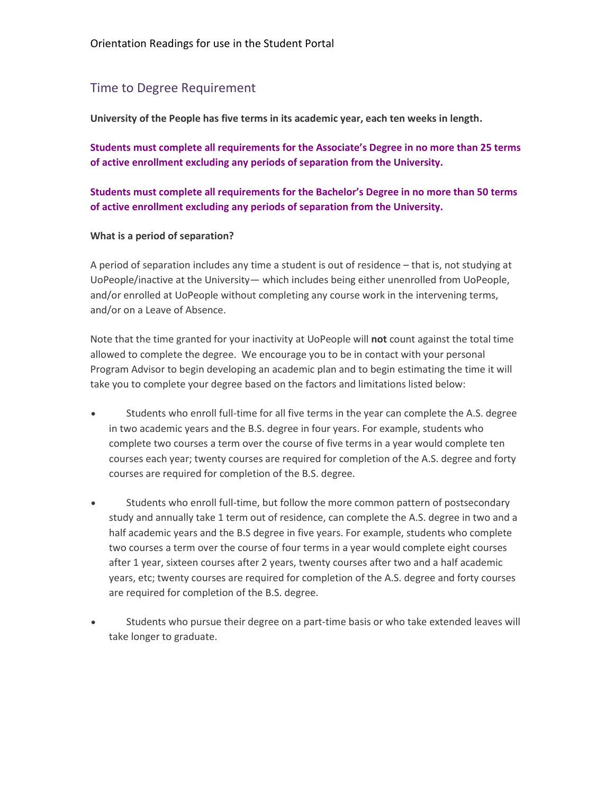# Time to Degree Requirement

**University of the People has five terms in its academic year, each ten weeks in length.** 

**Students must complete all requirements for the Associate's Degree in no more than 25 terms of active enrollment excluding any periods of separation from the University.** 

**Students must complete all requirements for the Bachelor's Degree in no more than 50 terms of active enrollment excluding any periods of separation from the University.**

#### **What is a period of separation?**

A period of separation includes any time a student is out of residence – that is, not studying at UoPeople/inactive at the University— which includes being either unenrolled from UoPeople, and/or enrolled at UoPeople without completing any course work in the intervening terms, and/or on a Leave of Absence.

Note that the time granted for your inactivity at UoPeople will **not** count against the total time allowed to complete the degree. We encourage you to be in contact with your personal Program Advisor to begin developing an academic plan and to begin estimating the time it will take you to complete your degree based on the factors and limitations listed below:

- Students who enroll full-time for all five terms in the year can complete the A.S. degree in two academic years and the B.S. degree in four years. For example, students who complete two courses a term over the course of five terms in a year would complete ten courses each year; twenty courses are required for completion of the A.S. degree and forty courses are required for completion of the B.S. degree.
- Students who enroll full-time, but follow the more common pattern of postsecondary study and annually take 1 term out of residence, can complete the A.S. degree in two and a half academic years and the B.S degree in five years. For example, students who complete two courses a term over the course of four terms in a year would complete eight courses after 1 year, sixteen courses after 2 years, twenty courses after two and a half academic years, etc; twenty courses are required for completion of the A.S. degree and forty courses are required for completion of the B.S. degree.
- Students who pursue their degree on a part-time basis or who take extended leaves will take longer to graduate.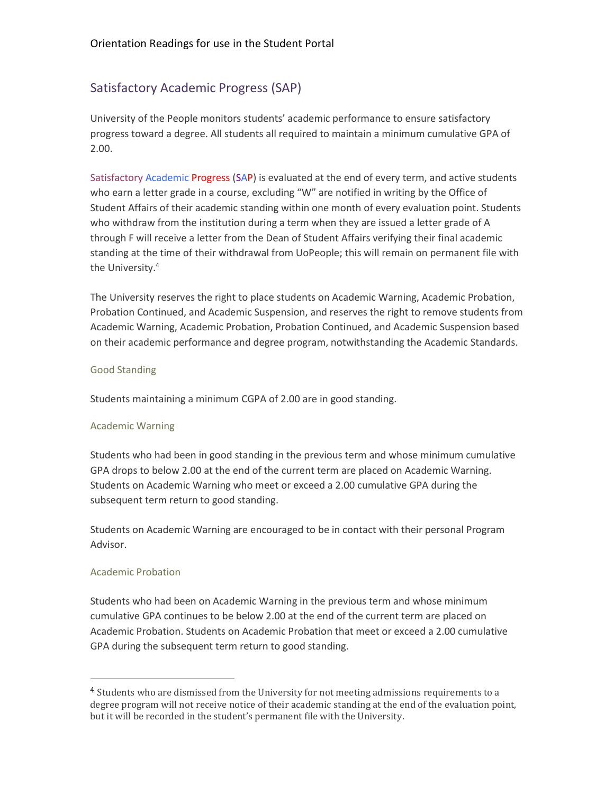# Satisfactory Academic Progress (SAP)

University of the People monitors students' academic performance to ensure satisfactory progress toward a degree. All students all required to maintain a minimum cumulative GPA of 2.00.

Satisfactory Academic Progress (SAP) is evaluated at the end of every term, and active students who earn a letter grade in a course, excluding "W" are notified in writing by the Office of Student Affairs of their academic standing within one month of every evaluation point. Students who withdraw from the institution during a term when they are issued a letter grade of A through F will receive a letter from the Dean of Student Affairs verifying their final academic standing at the time of their withdrawal from UoPeople; this will remain on permanent file with the University.<sup>4</sup>

The University reserves the right to place students on Academic Warning, Academic Probation, Probation Continued, and Academic Suspension, and reserves the right to remove students from Academic Warning, Academic Probation, Probation Continued, and Academic Suspension based on their academic performance and degree program, notwithstanding the Academic Standards.

#### Good Standing

Students maintaining a minimum CGPA of 2.00 are in good standing.

#### Academic Warning

Students who had been in good standing in the previous term and whose minimum cumulative GPA drops to below 2.00 at the end of the current term are placed on Academic Warning. Students on Academic Warning who meet or exceed a 2.00 cumulative GPA during the subsequent term return to good standing.

Students on Academic Warning are encouraged to be in contact with their personal Program Advisor.

#### Academic Probation

 $\overline{a}$ 

Students who had been on Academic Warning in the previous term and whose minimum cumulative GPA continues to be below 2.00 at the end of the current term are placed on Academic Probation. Students on Academic Probation that meet or exceed a 2.00 cumulative GPA during the subsequent term return to good standing.

<sup>4</sup> Students who are dismissed from the University for not meeting admissions requirements to a degree program will not receive notice of their academic standing at the end of the evaluation point, but it will be recorded in the student's permanent file with the University.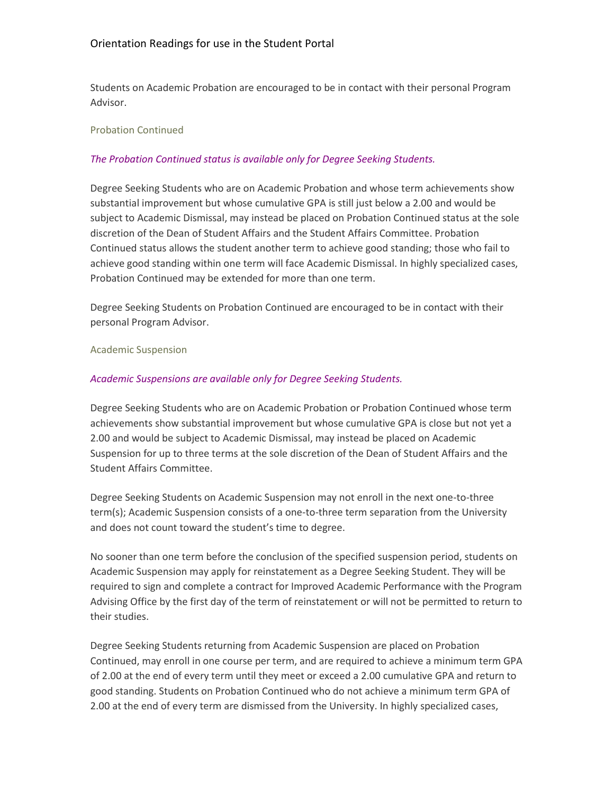Students on Academic Probation are encouraged to be in contact with their personal Program Advisor.

### Probation Continued

# *The Probation Continued status is available only for Degree Seeking Students.*

Degree Seeking Students who are on Academic Probation and whose term achievements show substantial improvement but whose cumulative GPA is still just below a 2.00 and would be subject to Academic Dismissal, may instead be placed on Probation Continued status at the sole discretion of the Dean of Student Affairs and the Student Affairs Committee. Probation Continued status allows the student another term to achieve good standing; those who fail to achieve good standing within one term will face Academic Dismissal. In highly specialized cases, Probation Continued may be extended for more than one term.

Degree Seeking Students on Probation Continued are encouraged to be in contact with their personal Program Advisor.

#### Academic Suspension

#### *Academic Suspensions are available only for Degree Seeking Students.*

Degree Seeking Students who are on Academic Probation or Probation Continued whose term achievements show substantial improvement but whose cumulative GPA is close but not yet a 2.00 and would be subject to Academic Dismissal, may instead be placed on Academic Suspension for up to three terms at the sole discretion of the Dean of Student Affairs and the Student Affairs Committee.

Degree Seeking Students on Academic Suspension may not enroll in the next one-to-three term(s); Academic Suspension consists of a one-to-three term separation from the University and does not count toward the student's time to degree.

No sooner than one term before the conclusion of the specified suspension period, students on Academic Suspension may apply for reinstatement as a Degree Seeking Student. They will be required to sign and complete a contract for Improved Academic Performance with the Program Advising Office by the first day of the term of reinstatement or will not be permitted to return to their studies.

Degree Seeking Students returning from Academic Suspension are placed on Probation Continued, may enroll in one course per term, and are required to achieve a minimum term GPA of 2.00 at the end of every term until they meet or exceed a 2.00 cumulative GPA and return to good standing. Students on Probation Continued who do not achieve a minimum term GPA of 2.00 at the end of every term are dismissed from the University. In highly specialized cases,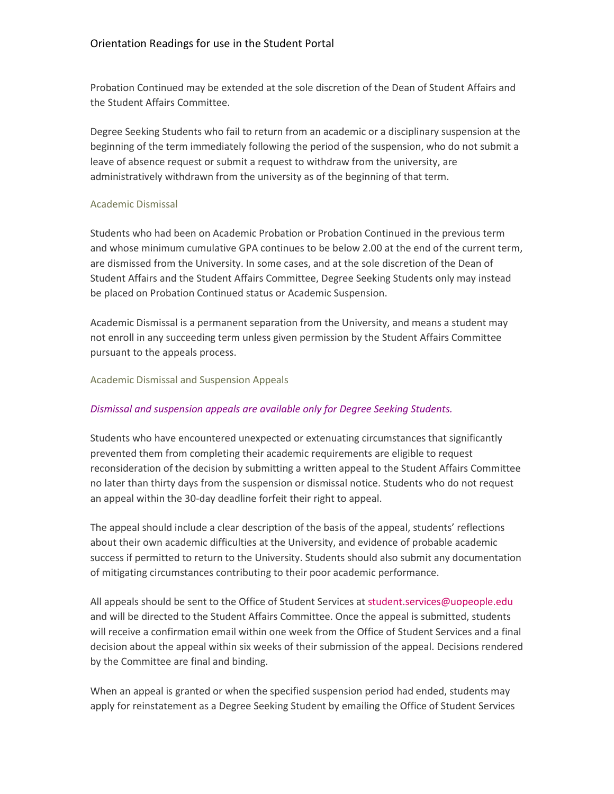Probation Continued may be extended at the sole discretion of the Dean of Student Affairs and the Student Affairs Committee.

Degree Seeking Students who fail to return from an academic or a disciplinary suspension at the beginning of the term immediately following the period of the suspension, who do not submit a leave of absence request or submit a request to withdraw from the university, are administratively withdrawn from the university as of the beginning of that term.

### Academic Dismissal

Students who had been on Academic Probation or Probation Continued in the previous term and whose minimum cumulative GPA continues to be below 2.00 at the end of the current term, are dismissed from the University. In some cases, and at the sole discretion of the Dean of Student Affairs and the Student Affairs Committee, Degree Seeking Students only may instead be placed on Probation Continued status or Academic Suspension.

Academic Dismissal is a permanent separation from the University, and means a student may not enroll in any succeeding term unless given permission by the Student Affairs Committee pursuant to the appeals process.

### Academic Dismissal and Suspension Appeals

# *Dismissal and suspension appeals are available only for Degree Seeking Students.*

Students who have encountered unexpected or extenuating circumstances that significantly prevented them from completing their academic requirements are eligible to request reconsideration of the decision by submitting a written appeal to the Student Affairs Committee no later than thirty days from the suspension or dismissal notice. Students who do not request an appeal within the 30-day deadline forfeit their right to appeal.

The appeal should include a clear description of the basis of the appeal, students' reflections about their own academic difficulties at the University, and evidence of probable academic success if permitted to return to the University. Students should also submit any documentation of mitigating circumstances contributing to their poor academic performance.

All appeals should be sent to the Office of Student Services at [student.services@uopeople.edu](mailto:student.services@uopeople.edu) and will be directed to the Student Affairs Committee. Once the appeal is submitted, students will receive a confirmation email within one week from the Office of Student Services and a final decision about the appeal within six weeks of their submission of the appeal. Decisions rendered by the Committee are final and binding.

When an appeal is granted or when the specified suspension period had ended, students may apply for reinstatement as a Degree Seeking Student by emailing the Office of Student Services